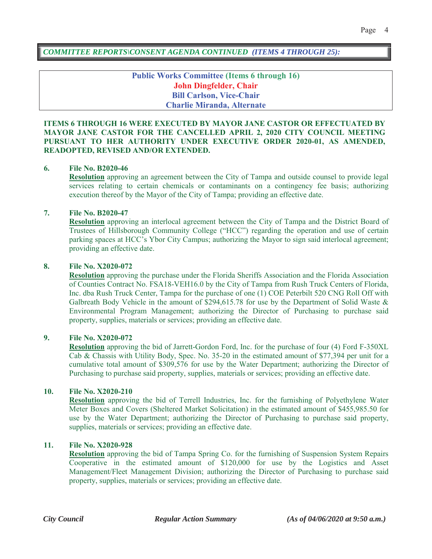*COMMITTEE REPORTS\CONSENT AGENDA CONTINUED (ITEMS 4 THROUGH 25):*

**Public Works Committee (Items 6 through 16) John Dingfelder, Chair Bill Carlson, Vice-Chair Charlie Miranda, Alternate**

### **ITEMS 6 THROUGH 16 WERE EXECUTED BY MAYOR JANE CASTOR OR EFFECTUATED BY MAYOR JANE CASTOR FOR THE CANCELLED APRIL 2, 2020 CITY COUNCIL MEETING PURSUANT TO HER AUTHORITY UNDER EXECUTIVE ORDER 2020-01, AS AMENDED, READOPTED, REVISED AND/OR EXTENDED.**

#### **6. File No. B2020-46**

**Resolution** approving an agreement between the City of Tampa and outside counsel to provide legal services relating to certain chemicals or contaminants on a contingency fee basis; authorizing execution thereof by the Mayor of the City of Tampa; providing an effective date.

#### **7. File No. B2020-47**

**Resolution** approving an interlocal agreement between the City of Tampa and the District Board of Trustees of Hillsborough Community College ("HCC") regarding the operation and use of certain parking spaces at HCC's Ybor City Campus; authorizing the Mayor to sign said interlocal agreement; providing an effective date.

#### **8. File No. X2020-072**

**Resolution** approving the purchase under the Florida Sheriffs Association and the Florida Association of Counties Contract No. FSA18-VEH16.0 by the City of Tampa from Rush Truck Centers of Florida, Inc. dba Rush Truck Center, Tampa for the purchase of one (1) COE Peterbilt 520 CNG Roll Off with Galbreath Body Vehicle in the amount of \$294,615.78 for use by the Department of Solid Waste & Environmental Program Management; authorizing the Director of Purchasing to purchase said property, supplies, materials or services; providing an effective date.

### **9. File No. X2020-072**

**Resolution** approving the bid of Jarrett-Gordon Ford, Inc. for the purchase of four (4) Ford F-350XL Cab & Chassis with Utility Body, Spec. No. 35-20 in the estimated amount of \$77,394 per unit for a cumulative total amount of \$309,576 for use by the Water Department; authorizing the Director of Purchasing to purchase said property, supplies, materials or services; providing an effective date.

#### **10. File No. X2020-210**

**Resolution** approving the bid of Terrell Industries, Inc. for the furnishing of Polyethylene Water Meter Boxes and Covers (Sheltered Market Solicitation) in the estimated amount of \$455,985.50 for use by the Water Department; authorizing the Director of Purchasing to purchase said property, supplies, materials or services; providing an effective date.

### **11. File No. X2020-928**

**Resolution** approving the bid of Tampa Spring Co. for the furnishing of Suspension System Repairs Cooperative in the estimated amount of \$120,000 for use by the Logistics and Asset Management/Fleet Management Division; authorizing the Director of Purchasing to purchase said property, supplies, materials or services; providing an effective date.